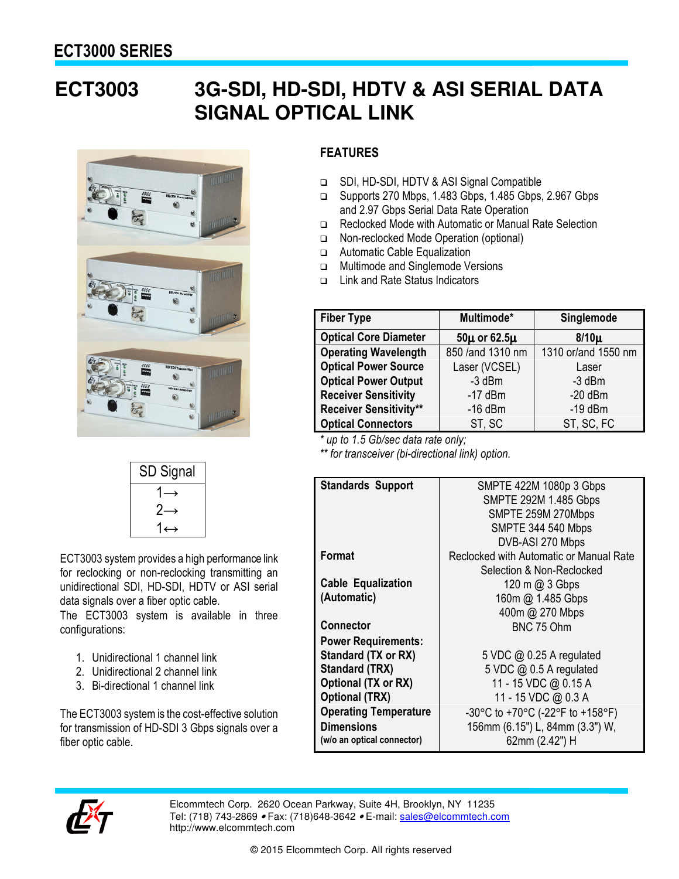## **ECT3003 3G-SDI, HD-SDI, HDTV & ASI SERIAL DATA SIGNAL OPTICAL LINK**



| SD Signal          |
|--------------------|
|                    |
| $2\rightarrow$     |
| $1\leftrightarrow$ |

ECT3003 system provides a high performance link for reclocking or non-reclocking transmitting an unidirectional SDI, HD-SDI, HDTV or ASI serial data signals over a fiber optic cable.

The ECT3003 system is available in three configurations:

- 1. Unidirectional 1 channel link
- 2. Unidirectional 2 channel link
- 3. Bi-directional 1 channel link

The ECT3003 system is the cost-effective solution for transmission of HD-SDI 3 Gbps signals over a fiber optic cable.

## **FEATURES**

- SDI, HD-SDI, HDTV & ASI Signal Compatible
- □ Supports 270 Mbps, 1.483 Gbps, 1.485 Gbps, 2.967 Gbps and 2.97 Gbps Serial Data Rate Operation
- □ Reclocked Mode with Automatic or Manual Rate Selection
- Non-reclocked Mode Operation (optional)
- Automatic Cable Equalization
- □ Multimode and Singlemode Versions
- Link and Rate Status Indicators

| <b>Fiber Type</b>             | Multimode*            | Singlemode          |
|-------------------------------|-----------------------|---------------------|
| <b>Optical Core Diameter</b>  | $50\mu$ or 62.5 $\mu$ | $8/10\mu$           |
| <b>Operating Wavelength</b>   | 850 /and 1310 nm      | 1310 or/and 1550 nm |
| <b>Optical Power Source</b>   | Laser (VCSEL)         | Laser               |
| <b>Optical Power Output</b>   | -3 dBm                | $-3$ dBm            |
| <b>Receiver Sensitivity</b>   | $-17$ dBm             | $-20$ dBm           |
| <b>Receiver Sensitivity**</b> | $-16$ dBm             | $-19$ dBm           |
| <b>Optical Connectors</b>     | ST, SC                | ST, SC, FC          |

*\* up to 1.5 Gb/sec data rate only;*

*\*\* for transceiver (bi-directional link) option.*

| <b>Standards Support</b>     | SMPTE 422M 1080p 3 Gbps                    |
|------------------------------|--------------------------------------------|
|                              | <b>SMPTE 292M 1.485 Gbps</b>               |
|                              | SMPTE 259M 270Mbps                         |
|                              | <b>SMPTE 344 540 Mbps</b>                  |
|                              | DVB-ASI 270 Mbps                           |
| Format                       | Reclocked with Automatic or Manual Rate    |
|                              | Selection & Non-Reclocked                  |
| <b>Cable Equalization</b>    | $120 \text{ m} \text{ (}0, 3 \text{ Gbps}$ |
| (Automatic)                  | 160m @ 1.485 Gbps                          |
|                              | 400m @ 270 Mbps                            |
| <b>Connector</b>             | BNC 75 Ohm                                 |
| <b>Power Requirements:</b>   |                                            |
| Standard (TX or RX)          | 5 VDC $@$ 0.25 A regulated                 |
| Standard (TRX)               | 5 VDC @ 0.5 A regulated                    |
| Optional (TX or RX)          | 11 - 15 VDC @ 0.15 A                       |
| <b>Optional (TRX)</b>        | 11 - 15 VDC @ 0.3 A                        |
| <b>Operating Temperature</b> | -30°C to +70°C (-22°F to +158°F)           |
| <b>Dimensions</b>            | 156mm (6.15") L, 84mm (3.3") W,            |
| (w/o an optical connector)   | 62mm (2.42") H                             |
|                              |                                            |